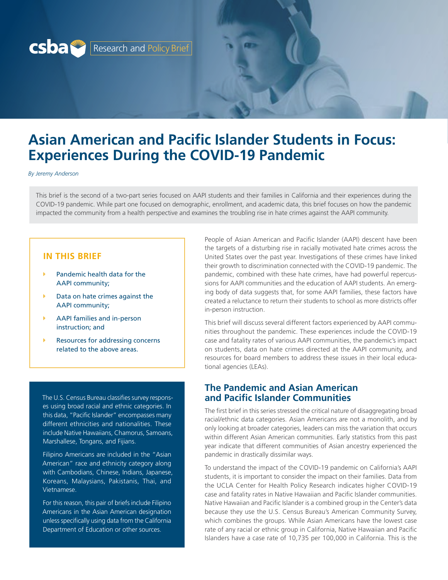

# **Asian American and Pacific Islander Students in Focus: Experiences During the COVID-19 Pandemic**

*By Jeremy Anderson*

This brief is the second of a two-part series focused on AAPI students and their families in California and their experiences during the COVID-19 pandemic. While part one focused on demographic, enrollment, and academic data, this brief focuses on how the pandemic impacted the community from a health perspective and examines the troubling rise in hate crimes against the AAPI community.

#### **IN THIS BRIEF**

- Pandemic health data for the AAPI community;
- Data on hate crimes against the AAPI community;
- AAPI families and in-person instruction; and
- Resources for addressing concerns related to the above areas.

The U.S. Census Bureau classifies survey responses using broad racial and ethnic categories. In this data, "Pacific Islander" encompasses many different ethnicities and nationalities. These include Native Hawaiians, Chamorus, Samoans, Marshallese, Tongans, and Fijians.

Filipino Americans are included in the "Asian American" race and ethnicity category along with Cambodians, Chinese, Indians, Japanese, Koreans, Malaysians, Pakistanis, Thai, and Vietnamese.

For this reason, this pair of briefs include Filipino Americans in the Asian American designation unless specifically using data from the California Department of Education or other sources.

People of Asian American and Pacific Islander (AAPI) descent have been the targets of a disturbing rise in racially motivated hate crimes across the United States over the past year. Investigations of these crimes have linked their growth to discrimination connected with the COVID-19 pandemic. The pandemic, combined with these hate crimes, have had powerful repercussions for AAPI communities and the education of AAPI students. An emerging body of data suggests that, for some AAPI families, these factors have created a reluctance to return their students to school as more districts offer in-person instruction.

This brief will discuss several different factors experienced by AAPI communities throughout the pandemic. These experiences include the COVID-19 case and fatality rates of various AAPI communities, the pandemic's impact on students, data on hate crimes directed at the AAPI community, and resources for board members to address these issues in their local educational agencies (LEAs).

#### **The Pandemic and Asian American and Pacific Islander Communities**

The first brief in this series stressed the critical nature of disaggregating broad racial/ethnic data categories. Asian Americans are not a monolith, and by only looking at broader categories, leaders can miss the variation that occurs within different Asian American communities. Early statistics from this past year indicate that different communities of Asian ancestry experienced the pandemic in drastically dissimilar ways.

To understand the impact of the COVID-19 pandemic on California's AAPI students, it is important to consider the impact on their families. Data from the UCLA Center for Health Policy Research indicates higher COVID-19 case and fatality rates in Native Hawaiian and Pacific Islander communities. Native Hawaiian and Pacific Islander is a combined group in the Center's data because they use the U.S. Census Bureau's American Community Survey, which combines the groups. While Asian Americans have the lowest case rate of any racial or ethnic group in California, Native Hawaiian and Pacific Islanders have a case rate of 10,735 per 100,000 in California. This is the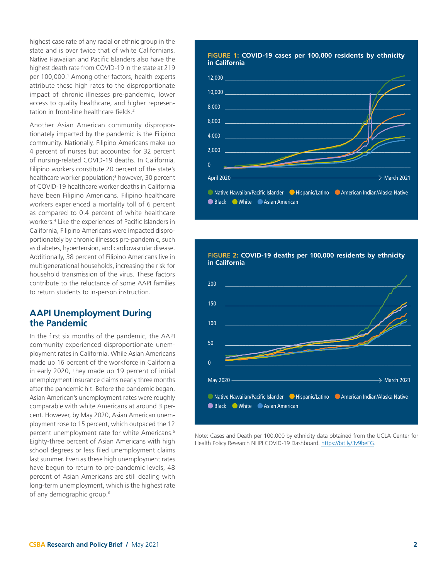<span id="page-1-0"></span>highest case rate of any racial or ethnic group in the state and is over twice that of white Californians. Native Hawaiian and Pacific Islanders also have the highest death rate from COVID-19 in the state at 219 per [1](#page-6-0)00,000.<sup>1</sup> Among other factors, health experts attribute these high rates to the disproportionate impact of chronic illnesses pre-pandemic, lower access to quality healthcare, and higher representation in front-line healthcare fields.<sup>2</sup>

Another Asian American community disproportionately impacted by the pandemic is the Filipino community. Nationally, Filipino Americans make up 4 percent of nurses but accounted for 32 percent of nursing-related COVID-19 deaths. In California, Filipino workers constitute 20 percent of the state's healthcare worker population;<sup>3</sup> however, 30 percent of COVID-19 healthcare worker deaths in California have been Filipino Americans. Filipino healthcare workers experienced a mortality toll of 6 percent as compared to 0.4 percent of white healthcare workers.[4](#page-6-0) Like the experiences of Pacific Islanders in California, Filipino Americans were impacted disproportionately by chronic illnesses pre-pandemic, such as diabetes, hypertension, and cardiovascular disease. Additionally, 38 percent of Filipino Americans live in multigenerational households, increasing the risk for household transmission of the virus. These factors contribute to the reluctance of some AAPI families to return students to in-person instruction.

#### **AAPI Unemployment During the Pandemic**

In the first six months of the pandemic, the AAPI community experienced disproportionate unemployment rates in California. While Asian Americans made up 16 percent of the workforce in California in early 2020, they made up 19 percent of initial unemployment insurance claims nearly three months after the pandemic hit. Before the pandemic began, Asian American's unemployment rates were roughly comparable with white Americans at around 3 percent. However, by May 2020, Asian American unemployment rose to 15 percent, which outpaced the 12 percent unemployment rate for white Americans.<sup>5</sup> Eighty-three percent of Asian Americans with high school degrees or less filed unemployment claims last summer. Even as these high unemployment rates have begun to return to pre-pandemic levels, 48 percent of Asian Americans are still dealing with long-term unemployment, which is the highest rate of any demographic group.<sup>[6](#page-6-0)</sup>

# **FIGURE 1: COVID-19 cases per 100,000 residents by ethnicity in California** 12,000 \_\_\_\_\_\_\_\_\_\_\_\_\_\_\_\_\_\_\_\_\_\_\_\_\_\_\_\_\_\_\_\_\_\_\_\_\_\_\_\_\_\_\_\_\_\_\_\_\_\_\_\_\_\_\_\_\_\_\_\_\_\_\_\_ 10,000 \_\_\_\_\_\_\_\_\_\_\_\_\_\_\_\_\_\_\_\_\_\_\_\_\_\_\_\_\_\_\_\_\_\_\_\_\_\_\_\_\_\_\_\_\_\_\_\_\_\_\_\_\_\_\_\_\_\_\_\_\_\_\_\_ 8,000 \_\_\_\_\_\_\_\_\_\_\_\_\_\_\_\_\_\_\_\_\_\_\_\_\_\_\_\_\_\_\_\_\_\_\_\_\_\_\_\_\_\_\_\_\_\_\_\_\_\_\_\_\_\_\_\_\_\_\_\_\_\_\_\_ 6,000 \_\_\_\_\_\_\_\_\_\_\_\_\_\_\_\_\_\_\_\_\_\_\_\_\_\_\_\_\_\_\_\_\_\_\_\_\_\_\_\_\_\_\_\_\_\_\_\_\_\_\_\_\_\_\_\_\_\_\_\_\_\_\_\_ 4,000 \_\_\_\_\_\_\_\_\_\_\_\_\_\_\_\_\_\_\_\_\_\_\_\_\_\_\_\_\_\_\_\_\_\_\_\_\_\_\_\_\_\_\_\_\_\_\_\_\_\_\_\_\_\_\_\_\_\_\_\_\_\_\_\_ 2,000 \_\_\_\_\_\_\_\_\_\_\_\_\_\_\_\_\_\_\_\_\_\_\_\_\_\_\_\_\_\_\_\_\_\_\_\_\_\_\_\_\_\_\_\_\_\_\_\_\_\_\_\_\_\_\_\_\_\_\_\_\_\_\_\_

Native Hawaiian/Pacific Islander **O** Hispanic/Latino **C** American Indian/Alaska Native

 $\rightarrow$  March 2021

 $0$  and the contract of the contract of  $\mathcal{O}(n)$  and  $\mathcal{O}(n)$  and  $\mathcal{O}(n)$  and  $\mathcal{O}(n)$  and  $\mathcal{O}(n)$ 

2016–17 2017–18 2018–19 2019 –20

● Black ● White ● Asian American

Anril 2020



Note: Cases and Death per 100,000 by ethnicity data obtained from the UCLA Center for Health Policy Research NHPI COVID-19 Dashboard.<https://bit.ly/3v9beFG>.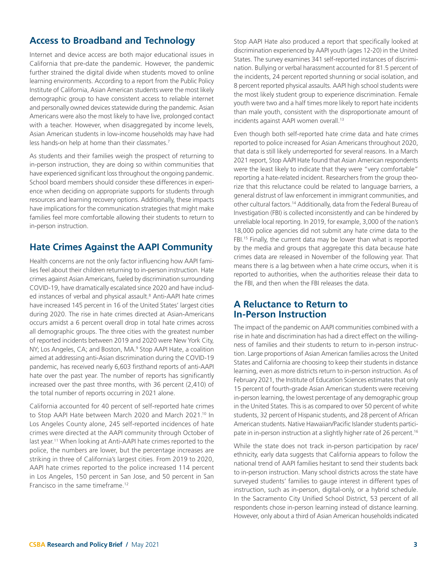## <span id="page-2-0"></span>**Access to Broadband and Technology**

Internet and device access are both major educational issues in California that pre-date the pandemic. However, the pandemic further strained the digital divide when students moved to online learning environments. According to a report from the Public Policy Institute of California, Asian American students were the most likely demographic group to have consistent access to reliable internet and personally owned devices statewide during the pandemic. Asian Americans were also the most likely to have live, prolonged contact with a teacher. However, when disaggregated by income levels, Asian American students in low-income households may have had less hands-on help at home than their classmates.<sup>7</sup>

As students and their families weigh the prospect of returning to in-person instruction, they are doing so within communities that have experienced significant loss throughout the ongoing pandemic. School board members should consider these differences in experience when deciding on appropriate supports for students through resources and learning recovery options. Additionally, these impacts have implications for the communication strategies that might make families feel more comfortable allowing their students to return to in-person instruction.

### **Hate Crimes Against the AAPI Community**

Health concerns are not the only factor influencing how AAPI families feel about their children returning to in-person instruction. Hate crimes against Asian Americans, fueled by discrimination surrounding COVID-19, have dramatically escalated since 2020 and have included instances of verbal and physical assault.<sup>8</sup> Anti-AAPI hate crimes have increased 145 percent in 16 of the United States' largest cities during 2020. The rise in hate crimes directed at Asian-Americans occurs amidst a 6 percent overall drop in total hate crimes across all demographic groups. The three cities with the greatest number of reported incidents between 2019 and 2020 were New York City, NY; Los Angeles, CA; and Boston, MA.<sup>[9](#page-6-0)</sup> Stop AAPI Hate, a coalition aimed at addressing anti-Asian discrimination during the COVID-19 pandemic, has received nearly 6,603 firsthand reports of anti-AAPI hate over the past year. The number of reports has significantly increased over the past three months, with 36 percent (2,410) of the total number of reports occurring in 2021 alone.

California accounted for 40 percent of self-reported hate crimes to Stop AAPI Hate between March 2020 and March 2021.<sup>10</sup> In Los Angeles County alone, 245 self-reported incidences of hate crimes were directed at the AAPI community through October of last year.<sup>11</sup> When looking at Anti-AAPI hate crimes reported to the police, the numbers are lower, but the percentage increases are striking in three of California's largest cities. From 2019 to 2020, AAPI hate crimes reported to the police increased 114 percent in Los Angeles, 150 percent in San Jose, and 50 percent in San Francisco in the same timeframe.[12](#page-6-0)

Stop AAPI Hate also produced a report that specifically looked at discrimination experienced by AAPI youth (ages 12-20) in the United States. The survey examines 341 self-reported instances of discrimination. Bullying or verbal harassment accounted for 81.5 percent of the incidents, 24 percent reported shunning or social isolation, and 8 percent reported physical assaults. AAPI high school students were the most likely student group to experience discrimination. Female youth were two and a half times more likely to report hate incidents than male youth, consistent with the disproportionate amount of incidents against AAPI women overall.<sup>[13](#page-6-0)</sup>

Even though both self-reported hate crime data and hate crimes reported to police increased for Asian Americans throughout 2020, that data is still likely underreported for several reasons. In a March 2021 report, Stop AAPI Hate found that Asian American respondents were the least likely to indicate that they were "very comfortable" reporting a hate-related incident. Researchers from the group theorize that this reluctance could be related to language barriers, a general distrust of law enforcement in immigrant communities, and other cultural factors[.14](#page-6-0) Additionally, data from the Federal Bureau of Investigation (FBI) is collected inconsistently and can be hindered by unreliable local reporting. In 2019, for example, 3,000 of the nation's 18,000 police agencies did not submit any hate crime data to the FBI.<sup>15</sup> Finally, the current data may be lower than what is reported by the media and groups that aggregate this data because hate crimes data are released in November of the following year. That means there is a lag between when a hate crime occurs, when it is reported to authorities, when the authorities release their data to the FBI, and then when the FBI releases the data.

#### **A Reluctance to Return to In-Person Instruction**

The impact of the pandemic on AAPI communities combined with a rise in hate and discrimination has had a direct effect on the willingness of families and their students to return to in-person instruction. Large proportions of Asian American families across the United States and California are choosing to keep their students in distance learning, even as more districts return to in-person instruction. As of February 2021, the Institute of Education Sciences estimates that only 15 percent of fourth-grade Asian American students were receiving in-person learning, the lowest percentage of any demographic group in the United States. This is as compared to over 50 percent of white students, 32 percent of Hispanic students, and 28 percent of African American students. Native Hawaiian/Pacific Islander students participate in in-person instruction at a slightly higher rate of 26 percent.<sup>16</sup>

While the state does not track in-person participation by race/ ethnicity, early data suggests that California appears to follow the national trend of AAPI families hesitant to send their students back to in-person instruction. Many school districts across the state have surveyed students' families to gauge interest in different types of instruction, such as in-person, digital-only, or a hybrid schedule. In the Sacramento City Unified School District, 53 percent of all respondents chose in-person learning instead of distance learning. However, only about a third of Asian American households indicated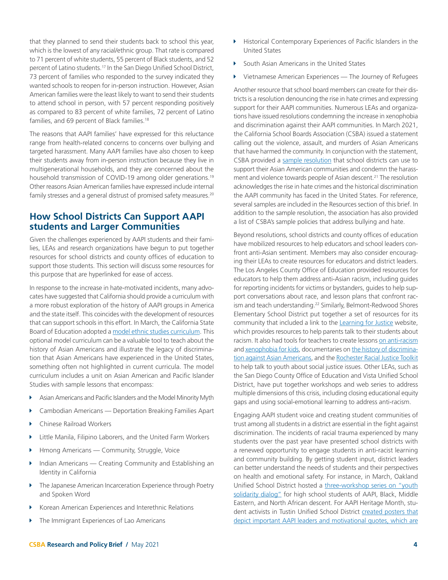Little Manila, Filipino Laborers, and the United Farm Workers Hmong Americans — Community, Struggle, Voice

**EXEC** Chinese Railroad Workers

Studies with sample lessons that encompass:

Indian Americans — Creating Community and Establishing an Identity in California

**EXECT:** Asian Americans and Pacific Islanders and the Model Minority Myth **EXEC** Cambodian Americans — Deportation Breaking Families Apart

<span id="page-3-0"></span>that they planned to send their students back to school this year, which is the lowest of any racial/ethnic group. That rate is compared to 71 percent of white students, 55 percent of Black students, and 52 percent of Latino students[.17](#page-6-0) In the San Diego Unified School District, 73 percent of families who responded to the survey indicated they wanted schools to reopen for in-person instruction. However, Asian American families were the least likely to want to send their students to attend school in person, with 57 percent responding positively as compared to 83 percent of white families, 72 percent of Latino

The reasons that AAPI families' have expressed for this reluctance range from health-related concerns to concerns over bullying and targeted harassment. Many AAPI families have also chosen to keep their students away from in-person instruction because they live in multigenerational households, and they are concerned about the household transmission of COVID-[19](#page-6-0) among older generations.<sup>19</sup> Other reasons Asian American families have expressed include internal family stresses and a general distrust of promised safety measures.<sup>[20](#page-6-0)</sup>

**How School Districts Can Support AAPI** 

Given the challenges experienced by AAPI students and their families, LEAs and research organizations have begun to put together resources for school districts and county offices of education to support those students. This section will discuss some resources for

In response to the increase in hate-motivated incidents, many advocates have suggested that California should provide a curriculum with a more robust exploration of the history of AAPI groups in America and the state itself. This coincides with the development of resources that can support schools in this effort. In March, the California State Board of Education adopted a [model ethnic studies curriculum](https://www.cde.ca.gov/ci/cr/cf/esmc.asp). This optional model curriculum can be a valuable tool to teach about the history of Asian Americans and illustrate the legacy of discrimination that Asian Americans have experienced in the United States, something often not highlighted in current curricula. The model curriculum includes a unit on Asian American and Pacific Islander

**students and Larger Communities** 

this purpose that are hyperlinked for ease of access.

families, and 69 percent of Black families.<sup>[18](#page-6-0)</sup>

- The Japanese American Incarceration Experience through Poetry and Spoken Word
- Korean American Experiences and Interethnic Relations
- The Immigrant Experiences of Lao Americans
- **Historical Contemporary Experiences of Pacific Islanders in the** United States
- South Asian Americans in the United States
- $\blacktriangleright$  Vietnamese American Experiences The Journey of Refugees

Another resource that school board members can create for their districts is a resolution denouncing the rise in hate crimes and expressing support for their AAPI communities. Numerous LEAs and organizations have issued resolutions condemning the increase in xenophobia and discrimination against their AAPI communities. In March 2021, the California School Boards Association (CSBA) issued a statement calling out the violence, assault, and murders of Asian Americans that have harmed the community. In conjunction with the statement, CSBA provided a [sample resolution](https://www.csba.org/-/media/CSBA/Files/Advocacy/LegislativeAdvocacy/Condemning-violence-Against-API-031821.ashx?la=en&rev=6373c555124f41278be4dca40cdb50cc) that school districts can use to support their Asian American communities and condemn the harassment and violence towards people of Asian descent[.21](#page-6-0) The resolution acknowledges the rise in hate crimes and the historical discrimination the AAPI community has faced in the United States. For reference, several samples are included in the Resources section of this brief. In addition to the sample resolution, the association has also provided a list of CSBA's sample policies that address bullying and hate.

Beyond resolutions, school districts and county offices of education have mobilized resources to help educators and school leaders confront anti-Asian sentiment. Members may also consider encouraging their LEAs to create resources for educators and district leaders. The Los Angeles County Office of Education provided resources for educators to help them address anti-Asian racism, including guides for reporting incidents for victims or bystanders, guides to help support conversations about race, and lesson plans that confront racism and teach understanding.<sup>22</sup> Similarly, Belmont-Redwood Shores Elementary School District put together a set of resources for its community that included a link to the [Learning for Justice](https://www.learningforjustice.org/) website, which provides resources to help parents talk to their students about racism. It also had tools for teachers to create lessons [on anti-racism](https://smithsonianapa.org/learn/learn-archives/2020-04/) and [xenophobia for kids](https://www.nationalgeographic.com/family/article/talking-to-kids-about-xenophobia-coronavirus), documentaries on [the history of discrimina](https://www.pbs.org/weta/asian-americans/)[tion against Asian Americans,](https://www.pbs.org/weta/asian-americans/) and the [Rochester Racial Justice Toolkit](https://thetoolkit.wixsite.com/toolkit/for-youth-children-1)  to help talk to youth about social justice issues. Other LEAs, such as the San Diego County Office of Education and Vista Unified School District, have put together workshops and web series to address multiple dimensions of this crisis, including closing educational equity gaps and using social-emotional learning to address anti-racism.

Engaging AAPI student voice and creating student communities of trust among all students in a district are essential in the fight against discrimination. The incidents of racial trauma experienced by many students over the past year have presented school districts with a renewed opportunity to engage students in anti-racist learning and community building. By getting student input, district leaders can better understand the needs of students and their perspectives on health and emotional safety. For instance, in March, Oakland Unified School District hosted a [three-workshop series on "youth](https://www.ousd.org/Page/20791)  [solidarity dialog"](https://www.ousd.org/Page/20791) for high school students of AAPI, Black, Middle Eastern, and North African descent. For AAPI Heritage Month, student activists in Tustin Unified School District [created posters that](https://newsroom.ocde.us/foothill-students-create-posters-to-celebrate-asian-american-and-pacific-islander-heritage-month/)  [depict important AAPI leaders and motivational quotes, which are](https://newsroom.ocde.us/foothill-students-create-posters-to-celebrate-asian-american-and-pacific-islander-heritage-month/)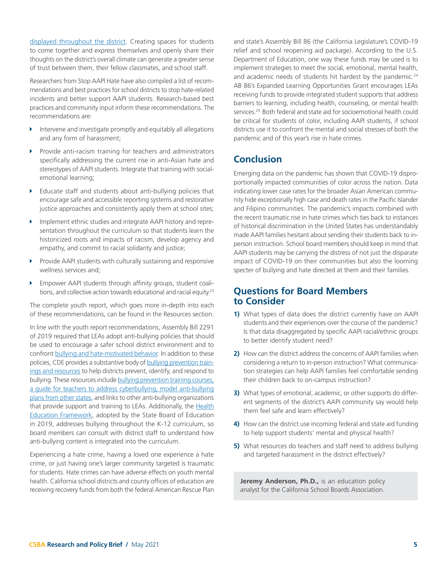<span id="page-4-0"></span>[displayed throughout the district.](https://newsroom.ocde.us/foothill-students-create-posters-to-celebrate-asian-american-and-pacific-islander-heritage-month/) Creating spaces for students to come together and express themselves and openly share their thoughts on the district's overall climate can generate a greater sense of trust between them, their fellow classmates, and school staff.

Researchers from Stop AAPI Hate have also compiled a list of recommendations and best practices for school districts to stop hate-related incidents and better support AAPI students. Research-based best practices and community input inform these recommendations. The recommendations are:

- Intervene and investigate promptly and equitably all allegations and any form of harassment;
- $\triangleright$  Provide anti-racism training for teachers and administrators specifically addressing the current rise in anti-Asian hate and stereotypes of AAPI students. Integrate that training with socialemotional learning;
- Educate staff and students about anti-bullying policies that encourage safe and accessible reporting systems and restorative justice approaches and consistently apply them at school sites;
- Implement ethnic studies and integrate AAPI history and representation throughout the curriculum so that students learn the historicized roots and impacts of racism, develop agency and empathy, and commit to racial solidarity and justice;
- Provide AAPI students with culturally sustaining and responsive wellness services and;
- **Empower AAPI students through affinity groups, student coali**tions, and collective action towards educational and racial equity.<sup>23</sup>

The complete youth report, which goes more in-depth into each of these recommendations, can be found in the Resources section.

In line with the youth report recommendations, Assembly Bill 2291 of 2019 required that LEAs adopt anti-bullying policies that should be used to encourage a safer school district environment and to confront [bullying and hate-motivated behavior](https://www.cde.ca.gov/ls/ss/se/bullyingprev.asp). In addition to these policies, CDE provides a substantive body of [bullying prevention train](https://www.cde.ca.gov/ls/ss/se/bullyres.asp)[ings and resources](https://www.cde.ca.gov/ls/ss/se/bullyres.asp) to help districts prevent, identify, and respond to bullying. These resources include [bullying prevention training courses,](https://www.stopbullying.gov/resources/training-center) [a guide for teachers to address cyberbullying, model anti-bullying](https://www.stopbullying.gov/resources/training-center) [plans from other states,](https://www.stopbullying.gov/resources/training-center) and links to other anti-bullying organizations that provide support and training to LEAs. Additionally, the [Health](https://www.cde.ca.gov/ci/he/cf/) [Education Framework,](https://www.cde.ca.gov/ci/he/cf/) adopted by the State Board of Education in 2019, addresses bullying throughout the K-12 curriculum, so board members can consult with district staff to understand how anti-bullying content is integrated into the curriculum.

Experiencing a hate crime, having a loved one experience a hate crime, or just having one's larger community targeted is traumatic for students. Hate crimes can have adverse effects on youth mental health. California school districts and county offices of education are receiving recovery funds from both the federal American Rescue Plan

and state's Assembly Bill 86 (the California Legislature's COVID-19 relief and school reopening aid package). According to the U.S. Department of Education, one way these funds may be used is to implement strategies to meet the social, emotional, mental health, and academic needs of students hit hardest by the pandemic.<sup>24</sup> AB 86's Expanded Learning Opportunities Grant encourages LEAs receiving funds to provide integrated student supports that address barriers to learning, including health, counseling, or mental health services[.25](#page-6-0) Both federal and state aid for socioemotional health could be critical for students of color, including AAPI students, if school districts use it to confront the mental and social stresses of both the pandemic and of this year's rise in hate crimes.

# **Conclusion**

Emerging data on the pandemic has shown that COVID-19 disproportionally impacted communities of color across the nation. Data indicating lower case rates for the broader Asian American community hide exceptionally high case and death rates in the Pacific Islander and Filipino communities. The pandemic's impacts combined with the recent traumatic rise in hate crimes which ties back to instances of historical discrimination in the United States has understandably made AAPI families hesitant about sending their students back to inperson instruction. School board members should keep in mind that AAPI students may be carrying the distress of not just the disparate impact of COVID-19 on their communities but also the looming specter of bullying and hate directed at them and their families.

#### **Questions for Board Members to Consider**

- **1)** What types of data does the district currently have on AAPI students and their experiences over the course of the pandemic? Is that data disaggregated by specific AAPI racial/ethnic groups to better identify student need?
- **2)** How can the district address the concerns of AAPI families when considering a return to in-person instruction? What communication strategies can help AAPI families feel comfortable sending their children back to on-campus instruction?
- **3)** What types of emotional, academic, or other supports do different segments of the district's AAPI community say would help them feel safe and learn effectively?
- **4)** How can the district use incoming federal and state aid funding to help support students' mental and physical health?
- **5)** What resources do teachers and staff need to address bullying and targeted harassment in the district effectively?

**Jeremy Anderson, Ph.D.,** is an education policy analyst for the California School Boards Association.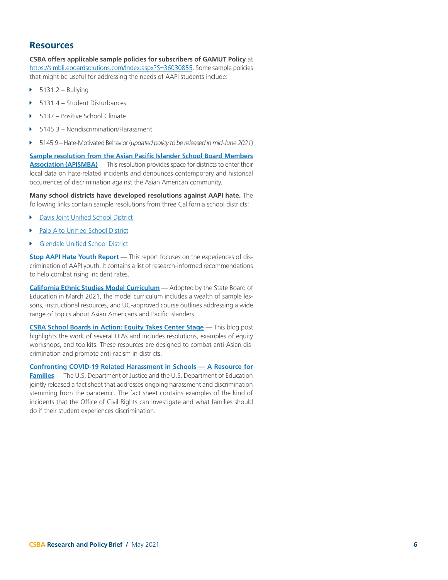#### **Resources**

**CSBA offers applicable sample policies for subscribers of GAMUT Policy** at <https://simbli.eboardsolutions.com/Index.aspx?S=36030855>. Some sample policies that might be useful for addressing the needs of AAPI students include:

- $\blacktriangleright$  5131.2 Bullying
- Î 5131.4 Student Disturbances
- Î 5137 Positive School Climate
- Î 5145.3 Nondiscrimination/Harassment
- Î 5145.9 Hate-Motivated Behavior (*updated policy to be released in mid-June 2021*)

**[Sample resolution from the Asian Pacific Islander School Board Members](https://apisbma.org/sample-resolution)  [Association \(APISMBA\)](https://apisbma.org/sample-resolution)** — This resolution provides space for districts to enter their local data on hate-related incidents and denounces contemporary and historical occurrences of discrimination against the Asian American community.

**Many school districts have developed resolutions against AAPI hate.** The following links contain sample resolutions from three California school districts:

- **[Davis Joint Unified School District](https://drive.google.com/file/d/1QylyecdI-8O0HvH9O9YD8wZSYweQFXqe/view)**
- [Palo Alto Unified School District](https://go.boarddocs.com/ca/pausd/Board.nsf/files/BNUQQM694EE0/$file/REVISED-ResolutionNo.2019-20.12DenouncingXenophoniaResolution.pdf)
- [Glendale Unified School District](https://www.gusd.net/cms/lib/CA01000648/Centricity/Domain/6/Reso 10-Affirming Commitment to the Safety of AAPI.pdf)

**[Stop AAPI Hate Youth Report](http://www.asianpacificpolicyandplanningcouncil.org/wp-content/uploads/Stop-AAPI-Hate-Youth-Report-9.14.20.pdf)** — This report focuses on the experiences of discrimination of AAPI youth. It contains a list of research-informed recommendations to help combat rising incident rates.

**[California Ethnic Studies Model Curriculum](https://www.cde.ca.gov/ci/cr/cf/esmc.asp)** — Adopted by the State Board of Education in March 2021, the model curriculum includes a wealth of sample lessons, instructional resources, and UC-approved course outlines addressing a wide range of topics about Asian Americans and Pacific Islanders.

**[CSBA School Boards in Action: Equity Takes Center Stage](http://blog.csba.org/covid-equity/)** — This blog post highlights the work of several LEAs and includes resolutions, examples of equity workshops, and toolkits. These resources are designed to combat anti-Asian discrimination and promote anti-racism in districts.

**[Confronting COVID-19 Related Harassment in Schools — A Resource for](https://www2.ed.gov/about/offices/list/ocr/docs/ocr-factsheet-aapi-202105.pdf?utm_content=&utm_medium=email&utm_name=&utm_source=govdelivery&utm_term=)  [Families](https://www2.ed.gov/about/offices/list/ocr/docs/ocr-factsheet-aapi-202105.pdf?utm_content=&utm_medium=email&utm_name=&utm_source=govdelivery&utm_term=)** — The U.S. Department of Justice and the U.S. Department of Education jointly released a fact sheet that addresses ongoing harassment and discrimination stemming from the pandemic. The fact sheet contains examples of the kind of incidents that the Office of Civil Rights can investigate and what families should do if their student experiences discrimination.